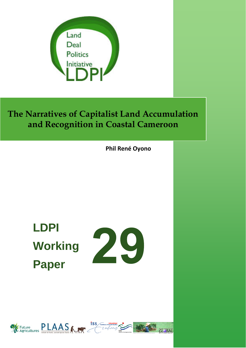

**Phil René Oyono**

# **LDPI Working Paper**



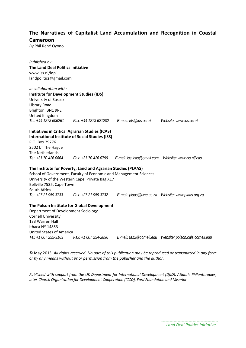*By* Phil René Oyono

| Published by:                                  |                                                                   |                                                                              |                        |
|------------------------------------------------|-------------------------------------------------------------------|------------------------------------------------------------------------------|------------------------|
| The Land Deal Politics Initiative              |                                                                   |                                                                              |                        |
| www.iss.nl/ldpi                                |                                                                   |                                                                              |                        |
| landpolitics@gmail.com                         |                                                                   |                                                                              |                        |
|                                                |                                                                   |                                                                              |                        |
| in collaboration with:                         |                                                                   |                                                                              |                        |
| <b>Institute for Development Studies (IDS)</b> |                                                                   |                                                                              |                        |
| University of Sussex                           |                                                                   |                                                                              |                        |
| Library Road                                   |                                                                   |                                                                              |                        |
| Brighton, BN1 9RE                              |                                                                   |                                                                              |                        |
| United Kingdom                                 |                                                                   |                                                                              |                        |
| Tel: +44 1273 606261                           |                                                                   | Fax: +44 1273 621202   E-mail: ids@ids.ac.uk                                 | Website: www.ids.ac.uk |
|                                                |                                                                   |                                                                              |                        |
|                                                | <b>Initiatives in Critical Agrarian Studies (ICAS)</b>            |                                                                              |                        |
|                                                | <b>International Institute of Social Studies (ISS)</b>            |                                                                              |                        |
| P.O. Box 29776                                 |                                                                   |                                                                              |                        |
| 2502 LT The Hague                              |                                                                   |                                                                              |                        |
| The Netherlands                                |                                                                   |                                                                              |                        |
| Tel: +31 70 426 0664                           |                                                                   | Fax: +31 70 426 0799   E-mail: iss.icas@gmail.com   Website: www.iss.nl/icas |                        |
|                                                | The Institute for Poverty, Land and Agrarian Studies (PLAAS)      |                                                                              |                        |
|                                                | School of Government, Faculty of Economic and Management Sciences |                                                                              |                        |
|                                                | University of the Western Cape, Private Bag X17                   |                                                                              |                        |
| Bellville 7535, Cape Town                      |                                                                   |                                                                              |                        |
| South Africa                                   |                                                                   |                                                                              |                        |
|                                                | Tel: +27 21 959 3733 Fax: +27 21 959 3732                         |                                                                              |                        |
|                                                |                                                                   |                                                                              |                        |
|                                                | The Polson Institute for Global Development                       |                                                                              |                        |
| Department of Development Sociology            |                                                                   |                                                                              |                        |
| <b>Cornell University</b>                      |                                                                   |                                                                              |                        |
| 133 Warren Hall                                |                                                                   |                                                                              |                        |
| Ithaca NY 14853                                |                                                                   |                                                                              |                        |
| <b>United States of America</b>                |                                                                   |                                                                              |                        |
| Tel: +1 607 255-3163                           | Fax: +1 607 254-2896                                              |                                                                              |                        |

© May 2013 *All rights reserved. No part of this publication may be reproduced or transmitted in any form or by any means without prior permission from the publisher and the author.*

*Published with support from the UK Department for International Development (DfID), Atlantic Philanthropies, Inter-Church Organization for Development Cooperation (ICCO), Ford Foundation and Miserior.*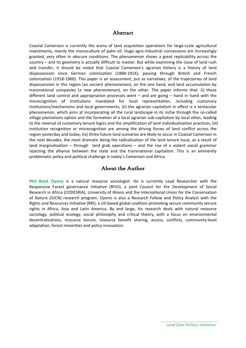#### Abstract

Coastal Cameroon is currently the arena of land acquisition operations for large-scale agricultural investments, mainly the monoculture of palm oil. Huge agro-industrial concessions are increasingly granted, very often in obscure conditions. The phenomenon shows a great replicability across the country – and its geometry is actually difficult to master. But while examining the issue of land rush and transfer, it should be noted that Coastal Cameroon's agrarian history is a history of land dispossession since German colonization (1884-1914), passing through British and French colonization (1918-1960). This paper is an assessment, put as narratives, of the trajectories of land dispossession in this region (an ancient phenomenon), on the one hand, and land accumulation by transnational companies (a new phenomenon), on the other. The paper informs that: (i) these different land control and appropriation processes went – and are going – hand in hand with the misrecognition of institutions mandated for local representation, including customary institutions/mechanisms and local governments; (ii) the agrarian capitalism in effect is a tentacular phenomenon, which aims at incorporating all the rural landscape in its niche through the so-called village plantations option and the formation of a local agrarian sub-capitalism by local elites, leading to the reversal of customary tenure logics and the amplification of land individualization practices; (iii) institution recognition or misrecognition are among the driving forces of land conflict across the region yesterday and today; (iv) three future land scenarios are likely to occur in Coastal Cameroon in the next decades, the most dramatic being the radicalization of the land tenure issue, as a result of land marginalization – through land grab operations – and the rise of a violent social grammar rejecting the alliance between the state and the transnational capitalism. This is an eminently problematic policy and political challenge in today's Cameroon and Africa.

#### About the Author

**Phil René Oyono** is a natural resource sociologist. He is currently Lead Researcher with the Responsive Forest governance Initiative (RFGI), a joint Council for the Development of Social Research in Africa (CODESRIA), University of Illinois and the International Union for the Conservation of Nature (IUCN) research program. Oyono is also a Research Fellow and Policy Analyst with the Rights and Resources Initiative (RRI), a US-based global coalition promoting secure community tenure rights in Africa, Asia and Latin America. By and large, his research deals with natural resource sociology, political ecology, social philosophy and critical theory, with a focus on environmental decentralizations, resource tenure, resource benefit sharing, access, conflicts, community-level adaptation, forest minorities and policy innovation.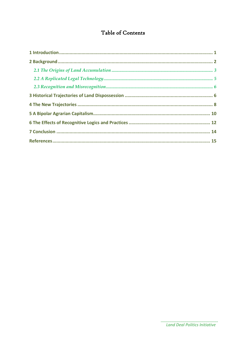### Table of Contents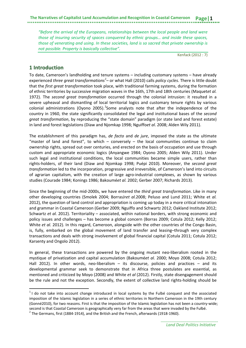*"Before the arrival of the Europeans, relationships between the local people and land were those of insuring security of spaces conquered by ethnic groups… and inside these spaces, those of venerating and using. In these societies, land is so sacred that private ownership is not possible. Property is basically collective".* 

Kenfack (2012 : 7)

#### <span id="page-4-0"></span>**1 Introduction**

 $\overline{a}$ 

To date, Cameroon's landholding and tenure systems – including customary systems – have already experienced *three great transformations[1](#page-4-1)* – or what Hall (2010) calls *policy cycles*. There is little doubt that the *first great transformation* took place, with traditional farming systems, during the formation of ethnic territories by successive migration waves in the 16th, 17th and 18th centuries (Maquet*et al.* 1972). The *second great transformation* occurred through the colonial intrusion: it resulted in a severe upheaval and dismantling of local territorial logics and customary tenure rights by various colonial administrations (Oyono [2](#page-4-2)005).  $2$ Some analysts note that after the independence of the country in 1960, the state significantly consolidated the legal and institutional bases of the *second great transformation*, by reproducing the "state domain" paradigm (or state land and forest estate) in land and forest legislations (Diaw and Njomkap 1998; Nguiffo*et al*. 2008; Alden Wily 2011).

The establishment of this paradigm has, *de facto* and *de jure*, imposed the state as the ultimate "master of land and forest", to which  $-$  conversely  $-$  the local communities continue to claim ownership rights, spread out over centuries, and erected on the basis of occupation and use through custom and appropriate economic logics (Anyangwe 1984; Oyono 2005; Alden Wily 2011). Under such legal and institutional conditions, the local communities became simple users, rather than rights-holders, of their land (Diaw and Njomkap 1998; Puépi 2010). Moreover, the *second great transformation* led to the incorporation, progressive and irreversible, of Cameroon's land into circuits of agrarian capitalism, with the creation of large agro-industrial complexes, as shown by various studies (Courade 1984; Konings 1986; Bakoumé*et al.* 2002; Gerber 2007; Richards 2013).

Since the beginning of the mid-2000s, we have entered the *third great transformation*. Like in many other developing countries (Smolek 2004; BorrasJr*et al.*2008; Peluso and Lund 2011; White et *al.* 2012), the question of land control and appropriation is coming up today in a more critical intonation and grammar in Coastal Cameroon (Gerber 2009; Nguiffo and Schwartz 2012; Oakland Institute 2012; Schwartz *et al.* 2012). Territoriality – associated, within national borders, with strong economic and policy issues and challenges – has become a global concern (Borras 2009; Cotula 2012; Kelly 2012; White *et al.* 2012). In this regard, Cameroon, alongside with the other countries of the Congo Basin, is, fully, embarked on the global movement of land transfer and leasing–through very complex transactions and deals with strong involvement of global financial capital (Cotula 2011; Cotula 2012; Karsenty and Ongolo 2012).

In general, these transactions are powered by the ongoing mutant neo-liberalism rooted in the mystique of privatization and capital accumulation (Bakoumé*et al.* 2000; Moyo 2008; Cotula 2012; Hall 2012). In other words, neo-liberalism  $-$  its discourse, policies and practices  $-$  and its developmental grammar seek to demonstrate that in Africa three postulates are essential, as mentioned and criticized by Moyo (2008) and White *et al* (2012). Firstly, state disengagement should be the rule and not the exception. Secondly, the extent of collective land rights-holding should be

<span id="page-4-1"></span> $1$  I do not take into account change introduced in local systems by the Fulbé conquest and the associated imposition of the Islamic legislation in a series of ethnic territories in Northern Cameroon in the 19th century (Gonné2010), for two reasons. First is that the imposition of the Islamic legislation has not been a country-wide; second is that Coastal Cameroon is geographically very far from the areas that were invaded by the Fulbé.

<span id="page-4-2"></span> $2$  The Germans, first (1884-1914), and the British and the French, afterwards (1918-1960).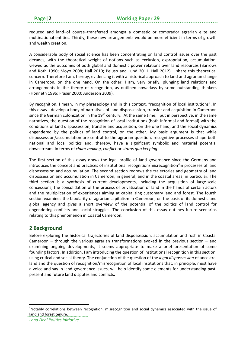reduced and land–of course–transferred amongst a domestic or comprador agrarian elite and multinational entities. Thirdly, these new arrangements would be more efficient in terms of growth and wealth creation.

A considerable body of social science has been concentrating on land control issues over the past decades, with the theoretical weight of notions such as exclusion, expropriation, accumulation, viewed as the outcomes of both global and domestic power relations over land resources (Barrows and Roth 1990; Moyo 2008; Hall 2010; Peluso and Lund 2011; Hall 2012). I share this theoretical concern. Therefore I am, hereby, evidencing it with a historical approach to land and agrarian change in Cameroon, on the one hand. On the other, I am, very briefly, plunging land relations and arrangements in the theory of recognition, as outlined nowadays by some outstanding thinkers (Honneth 1996; Fraser 2000; Anderson 2009).

By recognition, I mean, in my phraseology and in this context, "recognition of local institutions". In this essay I develop a body of narratives of land dispossession, transfer and acquisition in Cameroon since the German colonization in the  $19<sup>th</sup>$  century. At the same time, I put in perspective, in the same narratives, the question of the recognition of local institutions (both informal and formal) with the conditions of land dispossession, transfer and acquisition, on the one hand, and the social dynamics engendered by the politics of land control, on the other. My basic argument is that while dispossession/accumulation are central to the agrarian question, recognitive processes shape both national and local politics and, thereby, have a significant symbolic and material potential downstream, in terms of *claim-making*, *conflict* or *status quo keeping*

The first section of this essay draws the legal profile of land governance since the Germans and introduces the concept and practices of institutional recognition/misrecognition<sup>[3](#page-5-1)</sup>in processes of land dispossession and accumulation. The second section redraws the trajectories and geometry of land dispossession and accumulation in Cameroon, in general, and in the coastal areas, in particular. The third section is a synthesis of current developments, including the acquisition of large-scale concessions, the consolidation of the process of privatization of land in the hands of certain actors and the multiplication of experiences aiming at capitalizing customary land and forest. The fourth section examines the bipolarity of agrarian capitalism in Cameroon, on the basis of its domestic and global agency and gives a short overview of the potential of the politics of land control for engendering conflicts and social struggles. The conclusion of this essay outlines future scenarios relating to this phenomenon in Coastal Cameroon.

#### <span id="page-5-0"></span>**2 Background**

Before exploring the historical trajectories of land dispossession, accumulation and rush in Coastal Cameroon – through the various agrarian transformations evoked in the previous section – and examining ongoing developments, it seems appropriate to make a brief presentation of some founding factors. In addition, I am introducing the question of institutional recognition in this section, using critical and social theory. The conjunction of the question of the *legal dispossession* of ancestral land and the question of recognition/misrecognition of local institutions that, in principle, must have a voice and say in land governance issues, will help identify some elements for understanding past, present and future land disputes and conflicts.

**.** 

<span id="page-5-1"></span><sup>&</sup>lt;sup>3</sup>Notably correlations between recognition, misrecognition and social dynamics associated with the issue of land and forest tenure.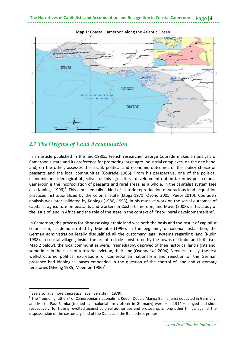

**Map 1**: Coastal Cameroon along the Atlantic Ocean

#### <span id="page-6-0"></span>*2.1 The Origins of Land Accumulation*

In an article published in the mid-1980s, French researcher George Courade makes an analysis of Cameroon's state and its preference for promoting large agro-industrial complexes, on the one hand, and, on the other, assesses the social, political and economic outcomes of this policy choice on peasants and the local communities (Courade 1986). From his perspective, one of the political, economic and ideological objectives of this agricultural development option taken by post-colonial Cameroon is the incorporation of peasants and rural areas, as a whole, in the capitalist system (see also Konings 1996)<sup>[4](#page-6-1)</sup>. This aim is equally a kind of historic reproduction of voracious land acquisition practices institutionalized by the colonial state (Etoga 1971; Oyono 2005; Puépi 2010). Courade's analysis was later validated by Konings (1986, 1993), in his massive work on the social outcomes of capitalist agriculture on peasants and workers in Costal Cameroon, and Moyo (2008), in his study of the issue of land in Africa and the role of the state in the context of "neo-liberal developmentalism".

In Cameroon, the process for dispossessing ethnic land was both the basis and the result of capitalist colonialism, as demonstrated by Mbembe (1996). In the beginning of colonial installation, the German administration legally disqualified all the customary legal systems regarding land (Rudin 1938). In coastal villages, inside the arc of a circle constituted by the towns of Limbe and Kribi (see Map 2 below), the local communities were, irremediably, deprived of their historical land rights and, sometimes in the cases of territorial eviction, their land (Oyono*et al*. 2004). Needless to say, the first well-structured political expressions of Cameroonian nationalism and rejection of the German presence had ideological bases embedded in the question of the control of land and customary territories (Mveng 198[5](#page-6-2); Mbembe 1986)<sup>5</sup>.

 $\overline{a}$ 

<span id="page-6-1"></span> $4$  See also, at a more theoretical level, Bernstein (1979).

<span id="page-6-2"></span><sup>&</sup>lt;sup>5</sup> The "founding fathers" of Cameroonian nationalism, Rudolf Douala Manga Bell (a jurist educated in Germany) and Martin Paul Samba (trained as a colonial army officer in Germany) were – in 1914 – hanged and shot, respectively, for having revolted against colonial authorities and protesting, among other things, against the dispossession of the customary land of the Duala and the Bulu ethnic groups.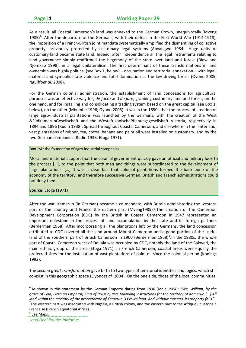As a result, all Coastal Cameroon's land was annexed to the German Crown, unequivocally (Mveng 1985)<sup>[6](#page-7-0)</sup>. After the departure of the Germans, with their defeat in the First World War (1914-1918), the imposition of a French-British joint mandate systematically amplified the dismantling of collective property, previously protected by customary legal systems (Anyangwe 1984). Huge units of customary land became state land. Indeed, after independence all the legal instruments relating to land governance simply reaffirmed the hegemony of the state over land and forest (Diaw and Njomkap 1998), in a legal unilateralism. The first determinant of these transformations in land ownership was highly political (see Box 1, below) – occupation and territorial annexation – with legal, material and symbolic state violence and total domination as the key driving forces (Oyono 2005; Nguiffo*et al.* 2008).

For the German colonial administration, the establishment of land concessions for agricultural purposes was an effective way for, *de facto* and *de jure*, grabbing customary land and forest, on the one hand, and for installing and consolidating a trading system based on the great capital (see Box 1, below), on the other (Mbembe 1996; Oyono 2005). It wasin the 1890s that the process of creation of large agro-industrial plantations was launched by the Germans, with the creation of the West &SüdKamerunGesellschaft and the WestafrikanischePflanungsgesellshaft Victoria, respectively in 1894 and 1896 (Rudin 1938). Spread throughout Coastal Cameroon, and elsewhere in the hinterland, vast plantations of rubber, tea, cocoa, banana and palm oil were installed on customary land by the two German companies (Rudin 1938; Etoga 1971).

#### **Box 1:**At the foundation of agro-industrial companies

Moral and material support that the colonial government quickly gave an official and military look to the process […], to the point that both men and things were subordinated to the development of large plantations. […] It was a clear fact that colonial plantations formed the back bone of the economy of the territory, and therefore successive German, British and French administrations could not deny them.

#### **Source:** Etoga (1971)

After the war, Kamerun (in German) became a co-mandate, with Britain administering the western part of the country and France the eastern part (Mveng1985)[7](#page-7-1).The creation of the Cameroon Development Corporation (CDC) by the British in Coastal Cameroon in 1947 represented an important milestone in the process of land accumulation by the state and its foreign partners (Berderman 1968). After incorporating all the plantations left by the Germans, the land concession attributed to CDC covered all the land around Mount Cameroon and a good portion of the useful land of the southern part of British Cameroon in 1960 (Berderman 196[8](#page-7-2))<sup>8</sup>. In the 1980s, the whole part of Coastal Cameroon west of Douala was occupied by CDC, notably the land of the Bakweri, the main ethnic group of the area (Etoga 1971). In French Cameroon, coastal areas were equally the preferred sites for the installation of vast plantations of palm oil since the colonial period (Konings 1993).

The *second great transformation* gave birth to two types of territorial identities and logics, which still co-exist in this geographic space (Oyono*et al.* 2004). On the one side, those of the local communities,

**.** 

<span id="page-7-0"></span><sup>6</sup> As shown in this statement by the German Emperor dating from 1896 (Jodie 1984): "*We, William, by the grace of God, German Emperor, King of Prussia, give following instructions for the territory of Kamerun [...] All*  land within the territory of the protectorate of Kamerun is Crown land. And without masters, its property falls." The western part was associated with Nigeria, a British colony, and the eastern part to the Afrique Equatoriale

<span id="page-7-1"></span>Française (French Equatorial Africa).

<span id="page-7-2"></span><sup>8</sup> See Maps.

*Land Deal Politics Initiative*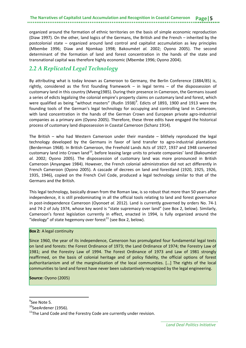organized around the formation of ethnic territories on the basis of simple economic reproduction (Diaw 1997). On the other, land logics of the Germans, the British and the French – inherited by the postcolonial state – organized around land control and capitalist accumulation as key principles (Mbembe 1996; Diaw and Njomkap 1998; Bakoumé*et al.* 2002; Oyono 2005). The second determinant of the formation of land and forest concentration in the hands of the state and transnational capital was therefore highly economic (Mbembe 1996; Oyono 2004).

#### <span id="page-8-0"></span>*2.2 A Replicated Legal Technology*

By attributing what is today known as Cameroon to Germany, the Berlin Conference (1884/85) is, rightly, considered as the first founding framework – in legal terms – of the dispossession of customary land in this country (Mveng1985). During their presence in Cameroon, the Germans issued a series of edicts legalizing the colonial empire's property claims on customary land and forest, which were qualified as being "without masters" (Rudin 1[9](#page-8-1)38)<sup>9</sup>. Edicts of 1893, 1900 and 1913 were the founding tools of the German's legal technology for occupying and controlling land in Cameroon, with land concentration in the hands of the German Crown and European private agro-industrial companies as a primary aim (Oyono 2005). Therefore, these three edits have engaged the historical process of customary land dispossession in Coastal Cameroon (Schanz 1914).

The British – who had Western Cameroon under their mandate – blithely reproduced the legal technology developed by the Germans in favor of land transfer to agro-industrial plantations (Berderman 1968). In British Cameroon, the Freehold Lands Acts of 1927, 1937 and 1948 converted customary land into Crown land[10](#page-8-2), before leasing large units to private companies' land (Bakoumé*et al.* 2002; Oyono 2005). The dispossession of customary land was more pronounced in British Cameroon (Anyangwe 1984). However, the French colonial administration did not act differently in French Cameroon (Oyono 2005). A cascade of decrees on land and forestland (1920, 1925, 1926, 1935, 1946), copied on the French Civil Code, produced a legal technology similar to that of the Germans and the British.

This legal technology, basically drawn from the Roman law, is so robust that more than 50 years after independence, it is still predominating in all the official tools relating to land and forest governance in post-independence Cameroon (Oyono*et al.* 2012). Land is currently governed by orders No. 74-1 and 74-2 of July 1974, whose key word is "state supremacy over land" (see Box 2, below). Similarly, Cameroon's forest legislation currently in effect, enacted in 1994, is fully organized around the "ideology" of state hegemony over forest $^{11}$  $^{11}$  $^{11}$  (see Box 2, below).

#### **Box 2:** A legal continuity

Since 1960, the year of its independence, Cameroon has promulgated four fundamental legal texts on land and forests: the Forest Ordinance of 1973; the Land Ordinance of 1974; the Forestry Law of 1981; and the Forestry Law of 1994. The Forest Ordinance of 1973 and Law of 1981 strongly reaffirmed, on the basis of colonial heritage and of policy fidelity, the official options of forest authoritarianism and of the marginalization of the local communities. […] The rights of the local communities to land and forest have never been substantively recognized by the legal engineering.

**Source:** Oyono (2005)

**.** 

<span id="page-8-1"></span><sup>9</sup> See Note 5*.* 

<span id="page-8-2"></span><sup>&</sup>lt;sup>10</sup>SeeArdener (1956).

<span id="page-8-3"></span> $11$ <sup>The Land Code and the Forestry Code are currently under revision.</sup>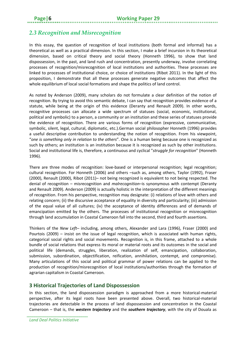### <span id="page-9-0"></span>*2.3 Recognition and Misrecognition*

In this essay, the question of recognition of local institutions (both formal and informal) has a theoretical as well as a practical dimension. In this section, I make a brief incursion in its theoretical dimension, based on critical theory and social theory (Honneth 1996), to show that land dispossession, in the past, and land rush and concentration, presently underway, involve correlating processes of recognition/misrecognition of local institutions and authorities. These processes are linked to processes of institutional choice, or choice of institutions (Ribot 2011). In the light of this proposition, I demonstrate that all these processes generate negative outcomes that affect the whole equilibrium of local social formations and shape the politics of land control.

As noted by Anderson (2009), many scholars do not formulate a clear definition of the notion of recognition. By trying to avoid this semantic debate, I can say that recognition provides evidence of a statute, while being at the origin of this evidence (Deranty and Renault 2009). In other words, recognitive processes can allocate a wide spectrum of statuses (social, economic, institutional, political and symbolic) to a person, a community or an institution and these series of statuses provide the evidence of recognition. There are various forms of recognition (expressive, communicative, symbolic, silent, legal, cultural, diplomatic, etc.).German social philosopher Honneth (1996) provides a useful descriptive contribution to understanding the notion of recognition. From his viewpoint, "*one is something only in relation to the others*". One is a human being because one is recognized as such by others; an institution is an institution because it is recognized as such by other institutions. Social and institutional life is, therefore, a continuous and cyclical "*struggle for recognition*" (Honneth 1996).

There are three modes of recognition: love-based or interpersonal recognition; legal recognition; cultural recognition. For Honneth (2006) and others –such as, among others, Taylor (1992), Fraser (2000), Renault (2000), Ribot (2011)– not being recognized is equivalent to not being respected. The denial of recognition – misrecognition and *malrecognition*–is synonymous with contempt (Deranty and Renault 2009). Anderson (2009) is actually holistic in the interpretation of the different meanings of recognition. From his perspective, recognition may designate: (i) relations of love with others and relating concern; (ii) the discursive acceptance of equality in diversity and particularity; (iii) admission of the equal value of all cultures; (iv) the acceptance of identity differences and of demands of emancipation emitted by the others. The processes of institutional recognition or misrecognition through land accumulation in Coastal Cameroon fall into the second, third and fourth assertions.

Thinkers of the *New Left*– including, among others, Alexander and Lara (1996), Fraser (2000) and Pourtois (2009) – insist on the issue of legal recognition, which is associated with human rights, categorical social rights and social movements. Recognition is, in this frame, attached to a whole bundle of social relations that express its moral or material roots and its outcomes in the social and political life (demands, struggles, liberation, realization of self, emancipation, collaboration, submission, subordination, objectification, reification, annihilation, contempt, and compromise). Many articulations of this social and political grammar of power relations can be applied to the production of recognition/misrecognition of local institutions/authorities through the formation of agrarian capitalism in Coastal Cameroon.

#### <span id="page-9-1"></span>**3 Historical Trajectories of Land Dispossession**

In this section, the land dispossession paradigm is approached from a more historical-material perspective, after its legal roots have been presented above. Overall, two historical-material trajectories are detectable in the process of land dispossession and concentration in the Coastal Cameroon – that is, the *western trajectory* and the *southern trajectory*, with the city of Douala as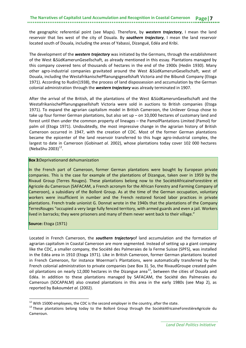the geographic referential point (see Maps). Therefore, by *western trajectory*, I mean the land reservoir that lies west of the city of Douala. By *southern trajectory*, I mean the land reservoir located south of Douala, including the areas of Yabassi, Dizangué, Edéa and Kribi.

The development of the *western trajectory* was initiated by the Germans, through the establishment of the West &SüdKamerunGesellschaft, as already mentioned in this essay. Plantations managed by this company covered tens of thousands of hectares in the end of the 1900s (Hedin 1930). Many other agro-industrial companies gravitated around the West &SüdKamerunGesellschaft, west of Douala, including the WestafrikanischePflanungsgesellshaft Victoria and the Bibundi Company (Etoga 1971). According to Rudin(1938), the process of land dispossession and accumulation by the German colonial administration through the *western trajectory* was already terminated in 1907.

After the arrival of the British, all the plantations of the West &SüdKamerunGesellschaft and the WestafrikanischePflanungsgesellshaft Victoria were sold in auctions to British companies (Etoga 1971). To expand the agrarian capitalism model in British Cameroon, the Unilever Group chose to take up four former German plantations, but also set up – on 10,000 hectares of customary land and forest until then under the common property of lineages – the PamolPlantations Limited (Pamol) for palm oil (Etoga 1971). Undoubtedly, the most impressive change in the agrarian history of British Cameroon occurred in 1947, with the creation of CDC. Most of the former German plantations became the epicenter of the land reservoir transferred to this huge agro-industrial complex, the largest to date in Cameroon (Gobina*et al.* 2002), whose plantations today cover 102 000 hectares (NebaShu 2003) $^{12}$  $^{12}$  $^{12}$ .

#### **Box 3:**Deprivationand dehumanization

In the French part of Cameroon, former German plantations were bought by European private companies. This is the case for example of the plantations of Dizangue, taken over in 1959 by the Rivaud Group (Terres Rouges). These plantations belong now to the SociétéAfricaineForestière et Agricole du Cameroun (SAFACAM, a French acronym for the African Forestry and Farming Company of Cameroon), a subsidiary of the Bolloré Group. As at the time of the German occupation, voluntary workers were insufficient in number and the French restored forced labor practices in private plantations. French trade unionist G. Donnat wrote in the 1940s that the plantations of the Company TerresRouges "occupied a very large fully fenced territory, with armed guards and even a jail. Workers lived in barracks; they were prisoners and many of them never went back to their village."

#### **Source:** Etoga (1971)

**.** 

Located in French Cameroon, the *southern trajectory*of land accumulation and the formation of agrarian capitalism in Coastal Cameroon are more segmented. Instead of setting up a giant company like the CDC, a smaller company, the Société des Palmeraies de la Ferme Suisse (SPFS), was installed in the Edéa area in 1910 (Etoga 1971). Like in British Cameroon, former German plantations located in French Cameroon, for instance Woerman's Plantations, were automatically transferred by the French colonial administration to private companies (see Box 3). So, the RivaudGroupe created palm oil plantations on nearly 12,000 hectares in the Dizangue area<sup>13</sup>, between the cities of Douala and Edéa. In addition to these plantations managed by SAFACAM, the Société des Palmeraies du Cameroun (SOCAPALM) also created plantations in this area in the early 1980s (see Map 2), as reported by Bakoumé*et al.* (2002).

<span id="page-10-1"></span><span id="page-10-0"></span><sup>&</sup>lt;sup>12</sup> With 15000 employees, the CDC is the second employer in the country, after the state.<br><sup>13</sup> These plantations belong today to the Bolloré Group through the SociétéAfricaineForestièreAgricole du Cameroun.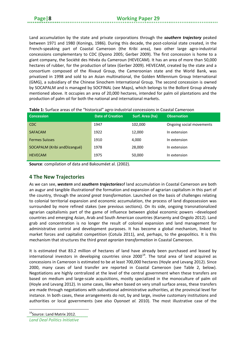Land accumulation by the state and private corporations through the *southern trajectory* peaked between 1971 and 1980 (Konings, 1986). During this decade, the post-colonial state created, in the French-speaking part of Coastal Cameroon (the Kribi area), two other large agro-industrial concessions complementary to CDC (Oyono 2005; Gerber 2009). The first concession is home to a giant company, the Société des Hévéa du Cameroun (HEVECAM). It has an area of more than 50,000 hectares of rubber, for the production of latex (Gerber 2009). HEVECAM, created by the state and a consortium composed of the Rivaud Group, the Cameroonian state and the World Bank, was privatized in 1998 and sold to an Asian multinational, the Golden Millennium Group International (GMG), a subsidiary of the Chinese Sinochem International Group. The second concession is owned by SOCAPALM and is managed by SOCFINAL (see Maps), which belongs to the Bolloré Group already mentioned above. It occupies an area of 20,000 hectares, intended for palm oil plantations and the production of palm oil for both the national and international markets.

| <b>Concession</b>             | <b>Date of Creation</b> | <b>Surf. Area (ha)</b> | <b>Observation</b>       |
|-------------------------------|-------------------------|------------------------|--------------------------|
| CDC.                          | 1947                    | 102,000                | Ongoing social movements |
| <b>SAFACAM</b>                | 1922                    | 12,000                 | In extension             |
| <b>Fermes Suisses</b>         | 1910                    | 4,000                  | In extension             |
| SOCAPALM (Kribi and Dizangué) | 1978                    | 28,000                 | In extension             |
| <b>HEVECAM</b>                | 1975                    | 50,000                 | In extension             |

| Table 1: Surface areas of the "historical" agro-industrial concessions in Coastal Cameroon |  |
|--------------------------------------------------------------------------------------------|--|
|--------------------------------------------------------------------------------------------|--|

**Source**: compilation of data and Bakouméet al. (2002).

#### <span id="page-11-0"></span>**4 The New Trajectories**

As we can see, *western* and *southern trajectories*of land accumulation in Coastal Cameroon are both an augur and tangible illustrationof the formation and expansion of agrarian capitalism in this part of the country, through the *second great transformation*. Launched on the basis of challenges relating to colonial territorial expansion and economic accumulation, the process of land dispossession was surrounded by more refined stakes (see previous sections). On its side, ongoing transnationalized agrarian capitalismis part of the game of influence between global economic powers –developed countries and emerging Asian, Arab and South American countries (Karsenty and Ongolo 2012). Land grab and concentration is no longer the result of colonial expansion and land management for administrative control and development purposes. It has become a global mechanism, linked to market forces and capitalist competition (Cotula 2011), and, perhaps, to the geopolitics. It is this mechanism that structures the third *great agrarian transformation* in Coastal Cameroon.

It is estimated that 83.2 million of hectares of land have already been purchased and leased by international investors in developing countries since  $2000^{14}$ . The total area of land acquired as concessions in Cameroon is estimated to be at least 700,000 hectares (Hoyle and Levang 2012). Since 2000, many cases of land transfer are reported in Coastal Cameroon (see Table 2, below). Negotiations are highly centralized at the level of the central government when these transfers are based on medium and large-scale acquisitions, mostly specialized in the monoculture of palm oil (Hoyle and Levang 2012). In some cases, like when based on very small surface areas, these transfers are made through negotiations with subnational administrative authorities, at the provincial level for instance. In both cases, these arrangements do not, by and large, involve customary institutions and authorities or local governments (see also Oyono*et al.* 2010). The most illustrative case of the

 $\overline{a}$ 

<span id="page-11-1"></span><sup>&</sup>lt;sup>14</sup>Source: Land Matrix 2012.

*Land Deal Politics Initiative*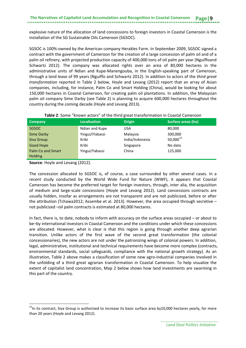explosive nature of the allocation of land concessions to foreign investors in Coastal Cameroon is the installation of the SG Sustainable Oils Cameroon (SGSOC).

SGSOC is 100%-owned by the American company Herakles Farm. In September 2009, SGSOC signed a contract with the government of Cameroon for the creation of a large concession of palm oil and of a palm oil refinery, with projected production capacity of 400,000 tons of oil palm per year (Nguiffoand Schwartz 2012). The company was allocated rights over an area of 80,000 hectares in the administrative units of Ndian and Kupe-Manengouba, in the English-speaking part of Cameroon, through a land lease of 99 years (Nguiffo and Schwartz 2012). In addition to actors of the *third great transformation* reported in Table 2 below, Hoyle and Levang (2012) report that an array of Asian companies, including, for instance, Palm Co and Smart Holding (China), would be looking for about 150,000 hectares in Coastal Cameroon, for creating palm oil plantations. In addition, the Malaysian palm oil company Sime Darby (see Table 2) is planning to acquire 600,000 hectares throughout the country during the coming decade (Hoyle and Levang 2013).

| Company                  | <b>Localisation</b> | <b>Origin</b>   | Surface areas (ha)   |
|--------------------------|---------------------|-----------------|----------------------|
| <b>SGSOC</b>             | Ndian and Kupe      | <b>USA</b>      | 80,000               |
| Sime Darby               | Yingui/iYabassi     | Malaysia        | 300,000              |
| Siva Group               | Kribi               | India/Indonesia | 50,000 <sup>15</sup> |
| Good Hope                | Kribi               | Singapore       | No data              |
| <b>Palm Co and Smart</b> | Yingui/Yabassi      | China           | 125,000              |
| <b>Holding</b>           |                     |                 |                      |

**Source**: Hoyle and Levang (2012).

**.** 

The concession allocated to SGSOC is, of course, a case surrounded by other several cases. In a recent study conducted by the World Wide Fund for Nature (WWF), it appears that Coastal Cameroon has become the preferred target for foreign investors, through, inter alia, the acquisition of medium and large-scale concessions (Hoyle and Levang 2012). Land concessions contracts are usually hidden, insofar as arrangements are not transparent and are not publicized, before or after the attribution (Tchawa2012; Assembe et al. 2013). However, the area occupied through secretive – not publicized –oil palm contracts is estimated at 80,000 hectares.

In fact, there is, to date, nobody to inform with accuracy on the surface areas occupied – or about to be–by international investors in Coastal Cameroon and the conditions under which these concessions are allocated. However, what is clear is that this region is going through another deep agrarian transition. Unlike actors of the first wave of the second great transformation (the colonial concessionaries), the new actors are not under the patronizing wings of colonial powers. In addition, legal, administrative, institutional and technical requirements have become more complex (contracts, environmental standards, social safeguards, compliance with the national growth strategy). As an illustration, Table 2 above makes a classification of some new agro-industrial companies involved in the unfolding of a third great agrarian transformation in Coastal Cameroon. To help visualize the extent of capitalist land concentration, Map 2 below shows how land investments are swarming in this part of the country.

<span id="page-12-0"></span> $<sup>15</sup>$ In its contract, Siva Group is authorized to increase its basic surface area by10,000 hectares yearly, for more</sup> than 20 years (Hoyle and Levang 2012).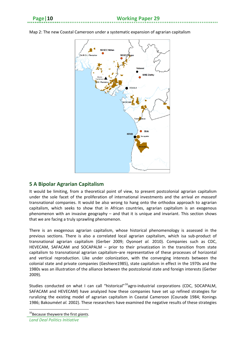

Map 2: The new Coastal Cameroon under a systematic expansion of agrarian capitalism

#### <span id="page-13-0"></span>**5 A Bipolar Agrarian Capitalism**

It would be limiting, from a theoretical point of view, to present postcolonial agrarian capitalism under the sole facet of the proliferation of international investments and the arrival *en masse*of transnational companies. It would be also wrong to hang onto the orthodox approach to agrarian capitalism, which seeks to show that in African countries, agrarian capitalism is an exogenous phenomenon with an invasive geography – and that it is unique and invariant. This section shows that we are facing a truly sprawling phenomenon.

There is an exogenous agrarian capitalism, whose historical phenomenology is assessed in the previous sections. There is also a correlated local agrarian capitalism, which isa sub-product of transnational agrarian capitalism (Gerber 2009; Oyono*et al.* 2010). Companies such as CDC, HEVECAM, SAFACAM and SOCAPALM – prior to their privatization in the transition from state capitalism to transnational agrarian capitalism–are representative of these processes of horizontal and vertical reproduction. Like under colonization, with the converging interests between the colonial state and private companies (Geshiere1985), state capitalism in effect in the 1970s and the 1980s was an illustration of the alliance between the postcolonial state and foreign interests (Gerber 2009).

Studies conducted on what I can call "historical"<sup>16</sup>agro-industrial corporations (CDC, SOCAPALM, SAFACAM and HEVECAM) have analyzed how these companies have set up refined strategies for ruralizing the existing model of agrarian capitalism in Coastal Cameroon (Courade 1984; Konings 1986; Bakoumé*et al.* 2002). These researchers have examined the negative results of these strategies

<span id="page-13-1"></span><sup>&</sup>lt;sup>16</sup>Because theywere the first *giants*. *Land Deal Politics Initiative*  $\overline{a}$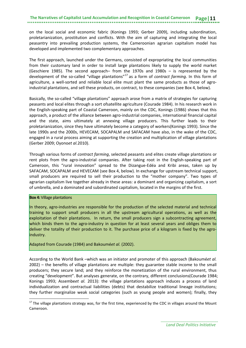on the local social and economic fabric (Konings 1993; Gerber 2009), including subordination, proletarianization, prostitution and conflicts. With the aim of capturing and integrating the local peasantry into prevailing production systems, the Cameroonian agrarian capitalism model has developed and implemented two complementary approaches.

The first approach, launched under the Germans, consisted of expropriating the local communities from their customary land in order to install large plantations likely to supply the world market (Geschiere 1985). The second approach– from the 1970s and 1980s – is represented by the development of the so-called "village plantations"[17](#page-14-0) as a form of *contract farming*. In this form of agriculture, a well-sorted and reliable local elite must plant the same products as those of agroindustrial plantations, and sell these products, on contract, to these companies (see Box 4, below).

Basically, the so-called "village plantations" approach arose from a matrix of strategies for capturing peasants and local elites through a sort ofsatellite agriculture (Courade 1984). In his research work in the English-speaking part of Coastal Cameroon, mainly on the CDC, Konings (1986) shows that this approach, a product of the alliance between agro-industrial companies, international financial capital and the state, aims ultimately at annexing village producers. This further leads to their proletarianization, since they have ultimately become a category of workers(Konings 1993). Since the late 1990s and the 2000s, HEVECAM, SOCAPALM and SAFACAM have also, in the wake of the CDC, engaged in a rural process aiming at supporting the creation and multiplication of village plantations (Gerber 2009; Oyono*et al.*2010).

Through various forms of *contract farming*, selected peasants and elites create village plantations or rent plots from the agro-industrial companies. After taking root in the English-speaking part of Cameroon, this "rural innovation" spread to the Dizangue-Edéa and Kribi areas, taken up by SAFACAM, SOCAPALM and HEVECAM (see Box 4, below). In exchange for upstream technical support, small producers are required to sell their production to the "mother company". Two types of agrarian capitalism live together already in these areas: a dominant and organizing capitalism, a sort of umbrella, and a dominated and subordinated capitalism, located in the margins of the first.

#### **Box 4:** Village plantations

**.** 

In theory, agro-industries are responsible for the production of the selected material and technical training to support small producers in all the upstream agricultural operations, as well as the exploitation of their plantations. In return, the small producers sign a subcontracting agreement, which binds them to the agro-industry in question for at least several years and obliges them to deliver the totality of their production to it. The purchase price of a kilogram is fixed by the agroindustry.

Adapted from Courade (1984) and Bakoumé*et al.* (2002).

According to the World Bank –which was an initiator and promoter of this approach (Bakoumé*et al.* 2002) – the benefits of village plantations are multiple: they guarantee stable income to the small producers; they secure land; and they reinforce the monetization of the rural environment, thus creating "development". But analyses generate, on the contrary, different conclusions(Courade 1984; Konings 1993; Assembe*et al.* 2013): the village plantations approach induces a process of land individualization and contractual liabilities (debts) that destabilize traditional lineage institutions; they further marginalize weak social categories (such as young people and women); finally, they

<span id="page-14-0"></span> $17$  The village plantations strategy was, for the first time, experienced by the CDC in villages around the Mount Cameroon.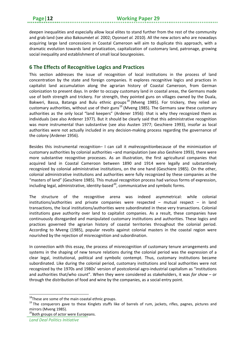deepen inequalities and especially allow local elites to stand further from the rest of the community and grab land (see also Bakoumé*et al.* 2002; Oyono*et al.* 2010). All the new actors who are nowadays acquiring large land concessions in Coastal Cameroon will aim to duplicate this approach, with a dramatic evolution towards land privatization, capitalization of customary land, patronage, growing social inequality and establishment of small local bourgeoisies.

#### <span id="page-15-0"></span>**6 The Effects of Recognitive Logics and Practices**

This section addresses the issue of recognition of local institutions in the process of land concentration by the state and foreign companies. It explores recognitive logics and practices in capitalist land accumulation along the agrarian history of Coastal Cameroon, from German colonization to present days. In order to occupy customary land in coastal areas, the Germans made use of both strength and trickery. For strength, they pointed guns on villages owned by the Duala, Bakweri, Bassa, Batanga and Bulu ethnic groups<sup>[18](#page-15-1)</sup> (Mveng 1985). For trickery, they relied on customary authorities, without use of their guns<sup>[19](#page-15-2)</sup> (Mveng 1985). The Germans saw these customary authorities as the only local "land keepers" (Ardener 1956): that is why they recognized them as individuals (see also Ardener 1977). But it should be clearly said that this administrative recognition was more instrumental than substantive (see also Austen 1977; Geschiere 1993), insofar as local authorities were not actually included in any decision-making process regarding the governance of the colony (Ardener 1956).

Besides this instrumental recognition– I can call it *malrecognition*because of the minimization of customary authorities by colonial authorities –and manipulation (see also Geshiere 1993), there were more substantive recognitive processes. As an illustration, the first agricultural companies that acquired land in Coastal Cameroon between 1890 and 1914 were legally and substantively recognized by colonial administrative institutions, on the one hand (Geschiere 1985). On the other, colonial administrative institutions and authorities were fully recognized by these companies as the "masters of land" (Geschiere 1985). This mutual recognition process had various forms of expression, including legal, administrative, identity-based $^{20}$ , communicative and symbolic forms.

The structure of the recognitive arena was indeed asymmetrical: while colonial institutions/authorities and private companies were respected – mutual respect – in land transactions, the local institutions/authorities were subordinated in these very transactions. Colonial institutions gave authority over land to capitalist companies. As a result, these companies have continuously disregarded and manipulated customary institutions and authorities. These logics and practices governed the agrarian history of coastal territories throughout the colonial period. According to Mveng (1985), popular revolts against colonial masters in the coastal region were nourished by the rejection of misrecognition and subordination.

In connection with this essay, the process of misrecognition of customary tenure arrangements and systems in the shaping of new tenure relations during the colonial period was the expression of a clear legal, institutional, political and symbolic contempt. Thus, customary institutions became subordinated. Like during the colonial period, customary institutions and local authorities were not recognized by the 1970s and 1980s' version of postcolonial agro-industrial capitalism as "institutions and authorities that/who count". When they were considered as stakeholders, it was *for show* – or through the distribution of food and wine by the companies, as a social entry point.

**.** 

<span id="page-15-1"></span> $18$ These are some of the main coastal ethnic groups.

<span id="page-15-2"></span><sup>&</sup>lt;sup>19</sup> The conquerors gave to these Kinglets stuffs like of barrels of rum, jackets, rifles, pagnes, pictures and mirrors (Mveng 1985).

<span id="page-15-3"></span><sup>&</sup>lt;sup>20</sup>Both groups of actor were Europeans.

*Land Deal Politics Initiative*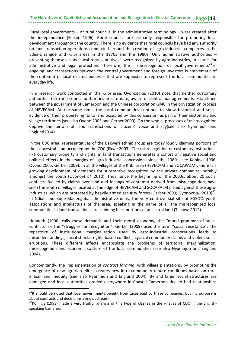Rural local governments  $-$  or rural councils, in the administrative terminology  $-$  were created after the independence (Finken 1996). Rural councils are primarily responsible for promoting local development throughout the country. There is no evidence that rural councils have had any authority on land transaction operations conducted around the creation of agro-industrial complexes in the Edéa-Dizangué and Kribi areas in the 1970s and the 1980s. Only administrative authorities – presenting themselves as "local representatives"–were recognized by agro-industries, in search for administrative and legal protection. Therefore, the misrecognition of local governments<sup>[21](#page-16-0)</sup> in ongoing land transactions between the central government and foreign investors is emblematic of the contempt of local elected bodies – that are supposed to represent the local communities in everyday life.

In a research work conducted in the Kribi area, Oyono*et al.* (2010) note that neither customary authorities nor rural council authorities are, to date, aware of contractual agreements established between the government of Cameroon and the Chinese corporation GMC in the privatization process of HEVECAM. At the same time, the local communities continue to show historical and social evidence of their property rights to land occupied by this concession, as part of their customary and village territories (see also Oyono 2005 and Gerber 2009). On the whole, processes of misrecognition deprive the terrain of land transactions of citizens' voice and say(see also Nyamnjoh and Englund2004).

In the CDC area, representatives of the Bakweri ethnic group are today loudly claiming portions of their ancestral land occupied by the CDC (Ekwe 2003). The misrecognition of customary institutions, like customary property and rights, in land transactions generates a cohort of negative social and political effects in the margins of agro-industrial concessions since the 1980s (see Konings 1996; Oyono 2005; Gerber 2009). In all the villages of the Kribi area (HEVECAM and SOCAPALM), there is a growing development of demands for substantive recognition by the private companies, notably amongst the youth (Oyono*et al.* 2010). Thus, since the beginning of the 2000s, about 20 social conflicts, fuelled by claims over land and feelings of contempt derived from misrecognition, have seen the youth of villages located at the edge of HEVECAM and SOCAPALM pitted against these agroindustries, which are protected by heavily armed security forces (Gerber 2009; Oyono*et al.* 2010) [22.](#page-16-1) In Ndian and Kupe-Manenguba administrative units, the very controversial site of SGSOC, youth associations and intellectuals of the area, speaking in the name of all the misrecognized local communities in land transactions, are claiming back portions of ancestral land (Tchawa 2012).

Honneth (1996) calls these demands and their moral economy, the "moral grammar of social conflicts" or the "struggles for recognition". Gerber (2009) uses the term "social resistance". The repertoire of institutional marginalization used by agro-industrial corporations leads to misunderstandings, social shocks, rights-based conflicts, cyclical community claims and violent social eruptions. These different effects encapsulate the problems of territorial marginalization, misrecognition and economic capture of the local communities (see also Nyamnjoh and Englund 2004).

Concomitantly, the implementation of *contract farming*, with village plantations, by promoting the emergence of new agrarian elites, creates new intra-community tenure conditions based on rural elitism and inequity (see also Nyamnjoh and Englund 2004). By and large, social structures are damaged and local authorities eroded everywhere in Coastal Cameroon due to bad relationships

 $\overline{a}$ 

<span id="page-16-0"></span><sup>&</sup>lt;sup>21</sup>It should be noted that local governments benefit from taxes paid by these companies, but my purpose is

<span id="page-16-1"></span>about contracts and decision-making upstream.<br><sup>22</sup>Konings (1993) made a very fruitful analysis of this type of clashes in the villages of CDC in the Englishspeaking Cameroon.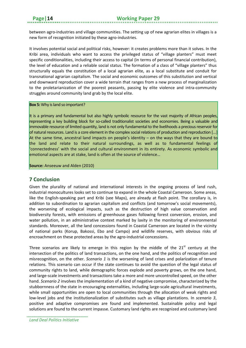between agro-industries and village communities. The setting up of new agrarian elites in villages is a new form of recognition initiated by these agro-industries.

It involves potential social and political risks, however: it creates problems more than it solves. In the Kribi area, individuals who want to access the privileged status of "village planters" must meet specific conditionalities, including their access to capital (in terms of personal financial contribution), the level of education and a reliable social status. The formation of a class of "village planters" thus structurally equals the constitution of a local agrarian elite, as a local substitute and conduit for transnational agrarian capitalism. The social and economic outcomes of this substitution and vertical and downward reproduction cover a wide terrain *t*hat ranges from a new process of marginalization to the proletarianization of the poorest peasants, passing by elite violence and intra-community struggles around community land grab by the local elite.

#### **Box 5:** Why is land so important?

It is a primary and fundamental but also highly symbolic resource for the vast majority of African peoples, representing a key building block for so-called traditionalist societies and economies. Being a valuable and immovable resource of limited quantity, land is not only fundamental to the livelihoods a precious reservoir for of natural resources. Land is a core element in the complex social relations of production and reproduction […] At the same time, ancestral land impacts on people's identity – on the ways that they are bound to the land and relate to their natural surroundings, as well as to fundamental feelings of 'connectedness' with the social and cultural environment in its entirety. As economic symbolic and emotional aspects are at stake, land is often at the source of violence…

**Source:** Anseeuw and Alden (2010)

#### <span id="page-17-0"></span>**7 Conclusion**

Given the plurality of national and international interests in the ongoing process of land rush, industrial monocultures looks set to continue to expand in the whole Coastal Cameroon. Some areas, like the English-speaking part and Kribi (see Maps), are already at flash point. The corollary is, in addition to subordination to agrarian capitalism and conflicts (and tomorrow's social movements), the worsening of ecological impacts, such as the destruction of high value conservation and biodiversity forests, with emissions of greenhouse gases following forest conversion, erosion, and water pollution, in an administrative context marked by laxity in the monitoring of environmental standards. Moreover, all the land concessions found in Coastal Cameroon are located in the vicinity of national parks (Korup, Bakossi, Ebo and Campo) and wildlife reserves, with obvious risks of encroachment on these protected areas by the agro-industrial concessions.

Three scenarios are likely to emerge in this region by the middle of the  $21<sup>st</sup>$  century at the intersection of the politics of land transactions, on the one hand, and the politics of recognition and misrecognition, on the other. *Scenario 1* is the worsening of land crises and polarization of tenure relations. This scenario can occur if the state continues to avoid the question of the legal status of community rights to land, while demographic forces explode and poverty grows, on the one hand, and large-scale investments and transactions take a more and more uncontrolled speed, on the other hand. *Scenario 2* involves the implementation of a kind of negative compromise, characterized by the stubbornness of the state in encouraging externalities, including large-scale agricultural investments, while small opportunities are open to local communities through the allocation of weak rights and low-level jobs and the institutionalization of substitutes such as village plantations. In *scenario 3*, positive and adaptive compromises are found and implemented. Sustainable policy and legal solutions are found to the current impasse. Customary land rights are recognized and customary land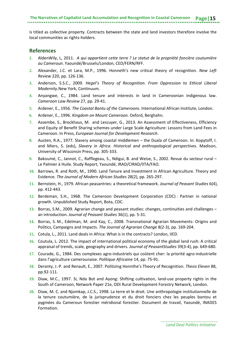is titled as collective property. Contracts between the state and land investors therefore involve the local communities as rights-holders.

#### <span id="page-18-0"></span>**References**

- **1.** AldenWily, L, 2011. *A qui appartient cette terre ? Le statut de la propriété foncière coutumière au Cameroun*. Yaoundé/Brussels/London, CED/FERN/RFF.
- **2.** Alexander, J.C. et Lara, M.P., 1996. Honneth's new critical theory of recognition. *New Left Review* 220, pp. 126-136.
- **3.** Anderson, S.S.C., 2009. *Hegel's Theory of Recognition. From Oppression to Ethical Liberal Modernity.*New York, Continuum.
- **4.** Anyangwe, C., 1984. Land tenure and interests in land in Cameroonian indigenous law. *Cameroon Law Review* 27, pp. 29-41.
- **5.** Ardener, E., 1956. *The Coastal Bantu of the Cameroons*. International African Institute, London.
- **6.** Ardener, E., 1996. *Kingdom on Mount Cameroon.* Oxford, Berghahn.
- **7.** Assembe, S., Brockhaus, M. and Lescuyer, G., 2013. An Assessment of Effectiveness, Efficiency and Equity of Benefit Sharing schemes under Large Scale Agriculture: Lessons from Land Fees in Cameroon. In Press, *European Journal for Development Research*.
- **8.** Austen, R.A., 1977. Slavery among coastal middlemen the Duala of Cameroon. In: Kopytoff, I. and Miers, S. (eds), *Slavery in Africa. Historical and anthropological perspectives.* Madison, University of Wisconsin Press, pp. 305-333.
- **9.** Bakoumé, C., Jannot, C., Rafflegeau, S., Ndigui, B. and Weise, S., 2002. Revue du secteur rural Le Palmier à Huile. Study Report, Yaoundé, IRAD/CIRAD/IITA/FAO.
- **10.** Barrows, R. and Roth, M., 1990. Land Tenure and Investment in African Agriculture. Theory and Evidence. *The Journal of Modern African Studies* 28(2), pp. 265-297.
- **11.** Bernstein, H., 1979. African peasantries: a theoretical framework. *Journal of Peasant Studies* 6(4), pp. 412-443.
- **12.** Berdeman, S.H., 1968. The Cameroon Development Corporation (CDC) : Partner in national growth. Unpublished Study Report, Bota, CDC.
- **13.** Borras, S.M., 2009. Agrarian change and peasant studies: changes, continuities and challenges an introduction. *Journal of Peasant Studies* 36(1), pp. 5-31.
- **14.** Borras, S. M., Edelman, M. and Kay, C., 2008. Transnational Agrarian Movements: Origins and Politics, Campaigns and Impacts. *The Journal of Agrarian Change* 8(2-3), pp. 169-204.
- **15.** Cotula, L., 2011. Land deals in Africa: What is in the contracts? London, IIED.
- **16.** Coutula, L. 2012. The impact of international political economy of the global land rush: A critical appraisal of trends, scale, geography and drivers. *Journal of PeasantStudies* 39(3-4), pp. 649-680.
- **17.** Courade, G., 1984. Des complexes agro-industriels qui coûtent cher: la priorité agro-industrielle dans l'agriculture camerounaise. *Politique Africaine* 14, pp. 75-91.
- **18.** Deranty, J.-P. and Renault, E., 2007. Politizing Honnthe's Theory of Recognition. *Thesis Eleven* 88, pp.92-111.
- **19.** Diaw, M.C., 1997. Si, Nda Bot and Ayong: Shifting cultivation, land-use property rights in the South of Cameroon, Network Paper 21e, ODI Rural Development Forestry Network, London.
- **20.** Diaw, M. C. and Njomkap, J.C.S., 1998. La terre et le droit. Une anthropologie institutionnelle de la tenure coutumière, de la jurisprudence et du droit fonciers chez les peuples bantou et pygmées du Cameroun forestier méridional forestier. Document de travail, Yaoundé, INADES Formation.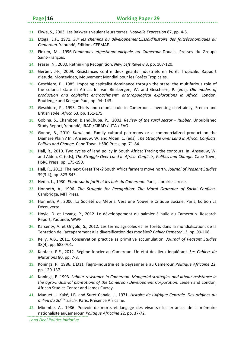- **21.** Ekwe, S., 2003. Les Bakweris veulent leurs terres. *Nouvelle Expression* 87, pp. 4-5.
- **22.** Etoga, E.F., 1971. *Sur les chemins du développement.Essaid'histoire des faitséconomiques du Cameroun.* Yaoundé, Editions CEPMAE.
- **23.** Finken, M., 1996.*Communes etgestionmunicipale au Cameroun.*Douala, Presses du Groupe Saint-François.
- **24.** Fraser, N., 2000. Rethinking Recognition. *New Left Review* 3, pp. 107-120.
- **25.** Gerber, J-F., 2009. Résistances contre deux géants industriels en Forêt Tropicale. Rapport d'étude, Montevideo, Mouvement Mondial pour les Forêts Tropicales.
- **26.** Geschiere, P., 1985. Imposing capitalist dominance through the state: the multifarious role of the colonial state in Africa. In: van Binsbergen, W. and Geschiere, P. (eds), *Old modes of production and capitalist encroachment: anthropological explorations in Africa*. London, Routledge and Keegan Paul, pp. 94–143.
- **27.** Geschiere, P., 1993. Chiefs and colonial rule in Cameroon inventing chieftaincy, French and British style. *Africa* 63, pp. 151-175.
- **28.** Gobina, S., Chambon, B.andChuba, P., 2002. *Review of the rural sector – Rubber.* Unpublished Study Report, Yaoundé, IRAD /CIRAD / IITA / FAO.
- **29.** Gonné, B., 2010. *Karal*land: Family cultural patrimony or a commercialized product on the Diamaré Plain ? In : Anseeuw, W. and Alden, C. (eds), *The Struggle Over Land in Africa. Conflicts, Politics and Change.* Cape Town, HSRC Press, pp. 71-84.
- **30.** Hall, R., 2010. Two cycles of land policy in South Africa: Tracing the contours. In: Anseeuw, W. and Alden, C. (eds), *The Struggle Over Land in Africa. Conflicts, Politics and Change.* Cape Town, HSRC Press, pp. 175-190.
- **31.** Hall, R., 2012. The next Great Trek? South Africa farmers move north. *Journal of Peasant Studies* 39(3-4), pp. 823-843.
- **32.** Hédin, L., 1930. *Etude sur la forêt et les bois du Cameroun.* Paris, Librairie Larose.
- **33.** Honneth, A., 1996. *The Struggle for Recognition: The Moral Grammar of Social Conflicts*. Cambridge, MIT Press,
- **34.** Honneth, A., 2006. La Société du Mépris. Vers une Nouvelle Critique Sociale. Paris, Edition La Découverte.
- **35.** Hoyle, D. et Levang, P., 2012. Le développement du palmier à huile au Cameroun. Research Report, Yaoundé, WWF.
- **36.** Karsenty, A. et Ongolo, S., 2012. Les terres agricoles et les forêts dans la mondialisation: de la Tentation de l'accaparement à la diversification des modèles? *Cahier Demeter* 13, pp. 99-108.
- **37.** Kelly, A.B., 2011. Conservation practice as primitive accumulation. *Journal of Peasant Studies* 38(4), pp. 683-701.
- **38.** Kenfack, P.E., 2012. Régime foncier au Cameroun. Un état des lieux inquiétant. *Les Cahiers de Mutations* 80, pp. 7-8.
- **39.** Konings, P., 1986. L'Etat, l'agro-industrie et la paysannerie au Cameroun.*Politique Africaine* 22, pp. 120-137.
- **40.** Konings, P. 1993. *Labour resistance in Cameroun. Mangerial strategies and labour resistance in the agro-industrial plantations of the Cameroon Development Corporation*. Leiden and London, African Studies Center and James Currey.
- **41.** Maquet, J. Kaké, I.B. and Suret-Canale, J., 1971. *Histoire de l'Afrique Centrale. Des origines au milieu du 20ème siècle.* Paris, Présence Africaine.
- **42.** Mbembe, A., 1986. Pouvoir de morts et langage des vivants : les errances de la mémoire nationaliste auCameroun.*Politique Africaine* 22, pp. 37-72.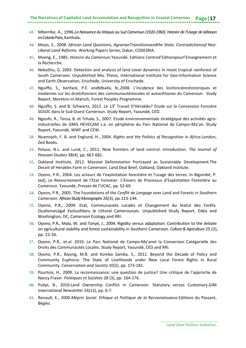- **43.** Mbembe, A., 1996.*La Naissance du Maquis au Sud Cameroun (1920-1960). Histoire de l'Usage de laRaison en Colonie.*Paris, Karthala.
- **44.** Moyo, S., 2008. *African Land Questions, AgrarianTransitionsandthe State. Contradictionsof Neo-Liberal Land Reforms.* Working Papers Series, Dakar, CODESRIA.
- **45.** Mveng, E., 1985. *Histoire du Cameroun.*Yaoundé, Editions Centred'Editionpourl'Enseignement et la Recherche.
- **46.** NebaShu, G. 2003. Detection and analysis of land cover dynamics in moist tropical rainforest of South Cameroon. Unpublished Msc Thesis, International Institute for Geo-Information Science and Earth Observation, Enschede, University of Enschede.
- **47.** Nguiffo, S., Kenfack, P.E. andMballa, N.,2008. L'incidence des loisfoncièreshistoriques et modernes sur les droitsfonciers des communautéslocales et autocthtones du Cameroun. Study Report, Moreton-in-Marsch, Forest Peoples Programme.
- 48. Nguiffo, S. and B. Schwartz, 2012. Le 13<sup>e</sup> Travail D'Héraklès? Etude sur la Concession Foncière SGSOC dans le Sud-Ouest Cameroun. Study Report, Yaoundé, CED.
- **49.** Ngoufo, R., Tessa, B. et Tchala, S., 2007. Etude environnementale stratégique des activités agroindustrielles de GMG HEVECAM s.a. en périphérie du Parc National de Campo–Ma'an. Study Report, Yaoundé, WWF and CEW.
- **50.** Nyamnjoh, F. B. and Englund, H., 2004. *Rights and the Politics of Recognition in Africa.*London, Zed Books.
- **51.** Peluso, N.L. and Lund, C., 2011. New frontiers of land control: Introduction. *The Journal of Peasant Studies* 38(4), pp. 667-681.
- **52.** Oakland Institute, 2012. Massive Deforestation Portrayed as Sustainable Development.The Deceit of Herakles Farm in Cameroon. Land Deal Brief, Oakland, Oakland Institute.
- **53.** Oyono, P.R., 2004. Les acteurs de l'exploitation forestière et l'usage des terres. In Bigombé, P. (ed), Le Retournement de l'Etat Forestier. L'Envers de Processus d'Exploitation Forestière au Cameroun. Yaoundé, Presses de l'UCAC, pp. 52-69.
- **54.** Oyono, P.R., 2005. The Foundations of the *Conflit de Langage* over Land and Forests in Southern Cameroon. *African Study Monographs* 26(3), pp.115-144.
- **55.** Oyono, P.R., 2009. Etat, Communautés Locales et Changement du Statut des Forêts. DualismeLégal Exclusifdans le Littoral Camerounais. Unpublished Study Report, Edéa and Washington, DC, Cameroon Ecology and RRI.
- **56.** Oyono, P.R., Mala, W. and Tonyé, J., 2004. Rigidity versus adaptation: Contribution to the debate on agricultural viability and forest sustainability in Southern Cameroon. *Culture & Agriculture* 25 (2), pp. 22-36.
- **57.** Oyono, P.R., et.al. 2010. Le Parc National de Campo-Ma'anet la Conversion Catégorielle des Droits des Communautés Locales. Study Report, Yaoundé, CED and RRI.
- **58.** Oyono, P.R., Biyong, M.B. and Kombo Samba, S., 2012. Beyond the Decade of Policy and Community Euphoria: The State of Livelihoods under New Local Forest Rights in Rural Community. *Conservation and Society* 10(2), pp. 173-181.
- **59.** Pourtois, H., 2009. La reconnaissance: une question de justice? Une critique de l'approche de Nancy Fraser. *Politiques et Sociétés* 28 (3), pp. 164-176.
- **60.** Puépi, B., 2010.Land Ownership Conflict in Cameroon. Statutory versus Customary.GIM International *Newsletter* 24(12), pp. 6-7.
- **61.** Renault, E., 2000.*Mépris Social. Ethique et Politique de la Reconnaissance.*Editions du Passant, Bègles.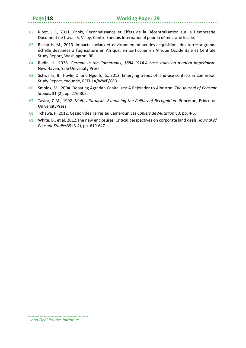- **62.** Ribot, J.C., 2011. Choix, Reconnaissance et Effets de la Décentralisation sur la Démocratie. Document de travail 5, Visby, Centre Suédois International pour la démocratie locale.
- **63.** Richards, M., 2013. Impacts sociaux et environnementaux des acquisitions des terres à grande échelle destinées à l'agriculture en Afrique, en particulier en Afrique Occidentale et Centrale. Study Report, Washington, RRI.
- **64.** Rudin, H., 1938. *German in the Cameroons, 1884-1914.A case study on modern imperialism*. New Haven, Yale University Press.
- **65.** Schwartz, B., Hoyle, D. and Nguiffo, S., 2012. Emerging trends of land-use conflicts in Cameroon. Study Report, Yaoundé, REFULA/WWF/CED.
- **66.** Smolek, M., 2004. Debating Agrarian Capitalism: A Rejoinder to Albritton. *The Journal of Peasant Studies* 31 (2), pp. 276-305.
- **67.** Taylor, C.M., 1992. *Multiculturalism. Examining the Politics of Recognition*. Princeton, Princeton UniversityPress.
- **68.** Tchawa, P.,2012. Cession des Terres au Cameroun.*Les Cahiers de Mutation* 80, pp. 4-5.
- **69.** White, B., et al. 2012.The new enclosures. Critical perspectives on corporate land deals. *Journal of Peasant Studies*39 (3-4), pp. 619-647.

*Land Deal Politics Initiative*